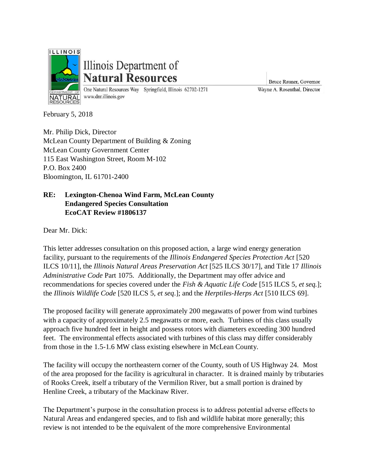

# Illinois Department of **Natural Resources**

One Natural Resources Way Springfield, Illinois 62702-1271 www.dnr.illinois.gov

Bruce Rauner, Governor Wayne A. Rosenthal, Director

February 5, 2018

Mr. Philip Dick, Director McLean County Department of Building & Zoning McLean County Government Center 115 East Washington Street, Room M-102 P.O. Box 2400 Bloomington, IL 61701-2400

# **RE: Lexington-Chenoa Wind Farm, McLean County Endangered Species Consultation EcoCAT Review #1806137**

Dear Mr. Dick:

This letter addresses consultation on this proposed action, a large wind energy generation facility, pursuant to the requirements of the *Illinois Endangered Species Protection Act* [520 ILCS 10/11], the *Illinois Natural Areas Preservation Act* [525 ILCS 30/17], and Title 17 *Illinois Administrative Code* Part 1075. Additionally, the Department may offer advice and recommendations for species covered under the *Fish & Aquatic Life Code* [515 ILCS 5, *et seq.*]; the *Illinois Wildlife Code* [520 ILCS 5, *et seq*.]; and the *Herptiles-Herps Act* [510 ILCS 69].

The proposed facility will generate approximately 200 megawatts of power from wind turbines with a capacity of approximately 2.5 megawatts or more, each. Turbines of this class usually approach five hundred feet in height and possess rotors with diameters exceeding 300 hundred feet. The environmental effects associated with turbines of this class may differ considerably from those in the 1.5-1.6 MW class existing elsewhere in McLean County.

The facility will occupy the northeastern corner of the County, south of US Highway 24. Most of the area proposed for the facility is agricultural in character. It is drained mainly by tributaries of Rooks Creek, itself a tributary of the Vermilion River, but a small portion is drained by Henline Creek, a tributary of the Mackinaw River.

The Department's purpose in the consultation process is to address potential adverse effects to Natural Areas and endangered species, and to fish and wildlife habitat more generally; this review is not intended to be the equivalent of the more comprehensive Environmental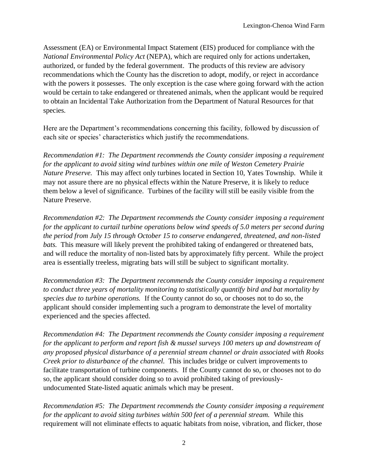Assessment (EA) or Environmental Impact Statement (EIS) produced for compliance with the *National Environmental Policy Act* (NEPA), which are required only for actions undertaken, authorized, or funded by the federal government. The products of this review are advisory recommendations which the County has the discretion to adopt, modify, or reject in accordance with the powers it possesses. The only exception is the case where going forward with the action would be certain to take endangered or threatened animals, when the applicant would be required to obtain an Incidental Take Authorization from the Department of Natural Resources for that species.

Here are the Department's recommendations concerning this facility, followed by discussion of each site or species' characteristics which justify the recommendations.

*Recommendation #1: The Department recommends the County consider imposing a requirement for the applicant to avoid siting wind turbines within one mile of Weston Cemetery Prairie Nature Preserve.* This may affect only turbines located in Section 10, Yates Township. While it may not assure there are no physical effects within the Nature Preserve, it is likely to reduce them below a level of significance. Turbines of the facility will still be easily visible from the Nature Preserve.

*Recommendation #2: The Department recommends the County consider imposing a requirement for the applicant to curtail turbine operations below wind speeds of 5.0 meters per second during the period from July 15 through October 15 to conserve endangered, threatened, and non-listed bats.* This measure will likely prevent the prohibited taking of endangered or threatened bats, and will reduce the mortality of non-listed bats by approximately fifty percent. While the project area is essentially treeless, migrating bats will still be subject to significant mortality.

*Recommendation #3: The Department recommends the County consider imposing a requirement to conduct three years of mortality monitoring to statistically quantify bird and bat mortality by species due to turbine operations.* If the County cannot do so, or chooses not to do so, the applicant should consider implementing such a program to demonstrate the level of mortality experienced and the species affected.

*Recommendation #4: The Department recommends the County consider imposing a requirement for the applicant to perform and report fish & mussel surveys 100 meters up and downstream of any proposed physical disturbance of a perennial stream channel or drain associated with Rooks Creek prior to disturbance of the channel.* This includes bridge or culvert improvements to facilitate transportation of turbine components. If the County cannot do so, or chooses not to do so, the applicant should consider doing so to avoid prohibited taking of previouslyundocumented State-listed aquatic animals which may be present.

*Recommendation #5: The Department recommends the County consider imposing a requirement for the applicant to avoid siting turbines within 500 feet of a perennial stream.* While this requirement will not eliminate effects to aquatic habitats from noise, vibration, and flicker, those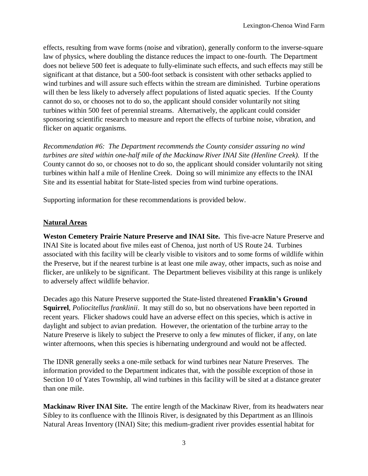effects, resulting from wave forms (noise and vibration), generally conform to the inverse-square law of physics, where doubling the distance reduces the impact to one-fourth. The Department does not believe 500 feet is adequate to fully-eliminate such effects, and such effects may still be significant at that distance, but a 500-foot setback is consistent with other setbacks applied to wind turbines and will assure such effects within the stream are diminished. Turbine operations will then be less likely to adversely affect populations of listed aquatic species. If the County cannot do so, or chooses not to do so, the applicant should consider voluntarily not siting turbines within 500 feet of perennial streams. Alternatively, the applicant could consider sponsoring scientific research to measure and report the effects of turbine noise, vibration, and flicker on aquatic organisms.

*Recommendation #6: The Department recommends the County consider assuring no wind turbines are sited within one-half mile of the Mackinaw River INAI Site (Henline Creek).* If the County cannot do so, or chooses not to do so, the applicant should consider voluntarily not siting turbines within half a mile of Henline Creek. Doing so will minimize any effects to the INAI Site and its essential habitat for State-listed species from wind turbine operations.

Supporting information for these recommendations is provided below.

#### **Natural Areas**

**Weston Cemetery Prairie Nature Preserve and INAI Site.** This five-acre Nature Preserve and INAI Site is located about five miles east of Chenoa, just north of US Route 24. Turbines associated with this facility will be clearly visible to visitors and to some forms of wildlife within the Preserve, but if the nearest turbine is at least one mile away, other impacts, such as noise and flicker, are unlikely to be significant. The Department believes visibility at this range is unlikely to adversely affect wildlife behavior.

Decades ago this Nature Preserve supported the State-listed threatened **Franklin's Ground Squirrel**, *Poliocitellus franklinii*. It may still do so, but no observations have been reported in recent years. Flicker shadows could have an adverse effect on this species, which is active in daylight and subject to avian predation. However, the orientation of the turbine array to the Nature Preserve is likely to subject the Preserve to only a few minutes of flicker, if any, on late winter afternoons, when this species is hibernating underground and would not be affected.

The IDNR generally seeks a one-mile setback for wind turbines near Nature Preserves. The information provided to the Department indicates that, with the possible exception of those in Section 10 of Yates Township, all wind turbines in this facility will be sited at a distance greater than one mile.

**Mackinaw River INAI Site.** The entire length of the Mackinaw River, from its headwaters near Sibley to its confluence with the Illinois River, is designated by this Department as an Illinois Natural Areas Inventory (INAI) Site; this medium-gradient river provides essential habitat for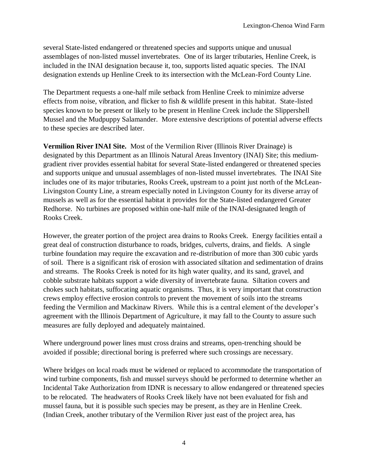several State-listed endangered or threatened species and supports unique and unusual assemblages of non-listed mussel invertebrates. One of its larger tributaries, Henline Creek, is included in the INAI designation because it, too, supports listed aquatic species. The INAI designation extends up Henline Creek to its intersection with the McLean-Ford County Line.

The Department requests a one-half mile setback from Henline Creek to minimize adverse effects from noise, vibration, and flicker to fish & wildlife present in this habitat. State-listed species known to be present or likely to be present in Henline Creek include the Slippershell Mussel and the Mudpuppy Salamander. More extensive descriptions of potential adverse effects to these species are described later.

**Vermilion River INAI Site.** Most of the Vermilion River (Illinois River Drainage) is designated by this Department as an Illinois Natural Areas Inventory (INAI) Site; this mediumgradient river provides essential habitat for several State-listed endangered or threatened species and supports unique and unusual assemblages of non-listed mussel invertebrates. The INAI Site includes one of its major tributaries, Rooks Creek, upstream to a point just north of the McLean-Livingston County Line, a stream especially noted in Livingston County for its diverse array of mussels as well as for the essential habitat it provides for the State-listed endangered Greater Redhorse. No turbines are proposed within one-half mile of the INAI-designated length of Rooks Creek.

However, the greater portion of the project area drains to Rooks Creek. Energy facilities entail a great deal of construction disturbance to roads, bridges, culverts, drains, and fields. A single turbine foundation may require the excavation and re-distribution of more than 300 cubic yards of soil. There is a significant risk of erosion with associated siltation and sedimentation of drains and streams. The Rooks Creek is noted for its high water quality, and its sand, gravel, and cobble substrate habitats support a wide diversity of invertebrate fauna. Siltation covers and chokes such habitats, suffocating aquatic organisms. Thus, it is very important that construction crews employ effective erosion controls to prevent the movement of soils into the streams feeding the Vermilion and Mackinaw Rivers. While this is a central element of the developer's agreement with the Illinois Department of Agriculture, it may fall to the County to assure such measures are fully deployed and adequately maintained.

Where underground power lines must cross drains and streams, open-trenching should be avoided if possible; directional boring is preferred where such crossings are necessary.

Where bridges on local roads must be widened or replaced to accommodate the transportation of wind turbine components, fish and mussel surveys should be performed to determine whether an Incidental Take Authorization from IDNR is necessary to allow endangered or threatened species to be relocated. The headwaters of Rooks Creek likely have not been evaluated for fish and mussel fauna, but it is possible such species may be present, as they are in Henline Creek. (Indian Creek, another tributary of the Vermilion River just east of the project area, has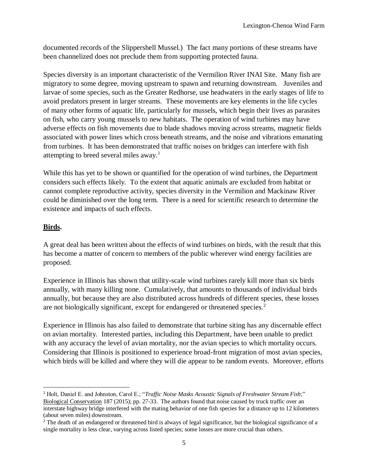documented records of the Slippershell Mussel.) The fact many portions of these streams have been channelized does not preclude them from supporting protected fauna.

Species diversity is an important characteristic of the Vermilion River INAI Site. Many fish are migratory to some degree, moving upstream to spawn and returning downstream. Juveniles and larvae of some species, such as the Greater Redhorse, use headwaters in the early stages of life to avoid predators present in larger streams. These movements are key elements in the life cycles of many other forms of aquatic life, particularly for mussels, which begin their lives as parasites on fish, who carry young mussels to new habitats. The operation of wind turbines may have adverse effects on fish movements due to blade shadows moving across streams, magnetic fields associated with power lines which cross beneath streams, and the noise and vibrations emanating from turbines. It has been demonstrated that traffic noises on bridges can interfere with fish attempting to breed several miles away.<sup>1</sup>

While this has yet to be shown or quantified for the operation of wind turbines, the Department considers such effects likely. To the extent that aquatic animals are excluded from habitat or cannot complete reproductive activity, species diversity in the Vermilion and Mackinaw River could be diminished over the long term. There is a need for scientific research to determine the existence and impacts of such effects.

## **Birds.**

 $\overline{\phantom{a}}$ 

A great deal has been written about the effects of wind turbines on birds, with the result that this has become a matter of concern to members of the public wherever wind energy facilities are proposed.

Experience in Illinois has shown that utility-scale wind turbines rarely kill more than six birds annually, with many killing none. Cumulatively, that amounts to thousands of individual birds annually, but because they are also distributed across hundreds of different species, these losses are not biologically significant, except for endangered or threatened species.<sup>2</sup>

Experience in Illinois has also failed to demonstrate that turbine siting has any discernable effect on avian mortality. Interested parties, including this Department, have been unable to predict with any accuracy the level of avian mortality, nor the avian species to which mortality occurs. Considering that Illinois is positioned to experience broad-front migration of most avian species, which birds will be killed and where they will die appear to be random events. Moreover, efforts

<sup>1</sup> Holt, Daniel E. and Johnston, Carol E.; "*Traffic Noise Masks Acoustic Signals of Freshwater Stream Fish*;" Biological Conservation 187 (2015); pp. 27-33. The authors found that noise caused by truck traffic over an interstate highway bridge interfered with the mating behavior of one fish species for a distance up to 12 kilometers (about seven miles) downstream.

<sup>&</sup>lt;sup>2</sup> The death of an endangered or threatened bird is always of legal significance, but the biological significance of a single mortality is less clear, varying across listed species; some losses are more crucial than others.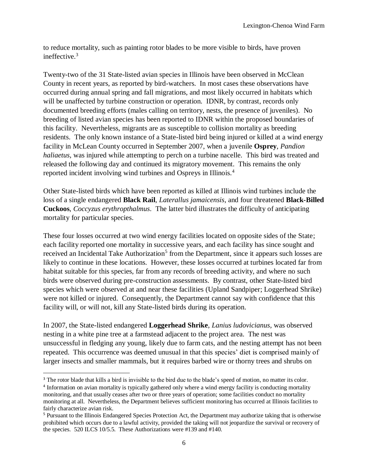to reduce mortality, such as painting rotor blades to be more visible to birds, have proven ineffective.<sup>3</sup>

Twenty-two of the 31 State-listed avian species in Illinois have been observed in McClean County in recent years, as reported by bird-watchers. In most cases these observations have occurred during annual spring and fall migrations, and most likely occurred in habitats which will be unaffected by turbine construction or operation. IDNR, by contrast, records only documented breeding efforts (males calling on territory, nests, the presence of juveniles). No breeding of listed avian species has been reported to IDNR within the proposed boundaries of this facility. Nevertheless, migrants are as susceptible to collision mortality as breeding residents. The only known instance of a State-listed bird being injured or killed at a wind energy facility in McLean County occurred in September 2007, when a juvenile **Osprey**, *Pandion haliaetus*, was injured while attempting to perch on a turbine nacelle. This bird was treated and released the following day and continued its migratory movement. This remains the only reported incident involving wind turbines and Ospreys in Illinois.<sup>4</sup>

Other State-listed birds which have been reported as killed at Illinois wind turbines include the loss of a single endangered **Black Rail**, *Laterallus jamaicensis*, and four threatened **Black-Billed Cuckoos**, *Coccyzus erythropthalmus*. The latter bird illustrates the difficulty of anticipating mortality for particular species.

These four losses occurred at two wind energy facilities located on opposite sides of the State; each facility reported one mortality in successive years, and each facility has since sought and received an Incidental Take Authorization<sup>5</sup> from the Department, since it appears such losses are likely to continue in these locations. However, these losses occurred at turbines located far from habitat suitable for this species, far from any records of breeding activity, and where no such birds were observed during pre-construction assessments. By contrast, other State-listed bird species which were observed at and near these facilities (Upland Sandpiper; Loggerhead Shrike) were not killed or injured. Consequently, the Department cannot say with confidence that this facility will, or will not, kill any State-listed birds during its operation.

In 2007, the State-listed endangered **Loggerhead Shrike**, *Lanius ludovicianus*, was observed nesting in a white pine tree at a farmstead adjacent to the project area. The nest was unsuccessful in fledging any young, likely due to farm cats, and the nesting attempt has not been repeated. This occurrence was deemed unusual in that this species' diet is comprised mainly of larger insects and smaller mammals, but it requires barbed wire or thorny trees and shrubs on

 $\overline{a}$ <sup>3</sup> The rotor blade that kills a bird is invisible to the bird due to the blade's speed of motion, no matter its color.

<sup>&</sup>lt;sup>4</sup> Information on avian mortality is typically gathered only where a wind energy facility is conducting mortality monitoring, and that usually ceases after two or three years of operation; some facilities conduct no mortality monitoring at all. Nevertheless, the Department believes sufficient monitoring has occurred at Illinois facilities to fairly characterize avian risk.

<sup>5</sup> Pursuant to the Illinois Endangered Species Protection Act, the Department may authorize taking that is otherwise prohibited which occurs due to a lawful activity, provided the taking will not jeopardize the survival or recovery of the species. 520 ILCS 10/5.5. These Authorizations were #139 and #140.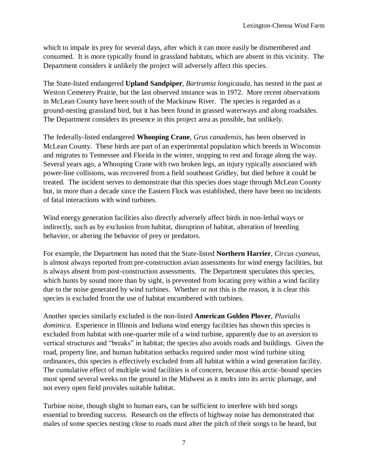which to impale its prey for several days, after which it can more easily be dismembered and consumed. It is more typically found in grassland habitats, which are absent in this vicinity. The Department considers it unlikely the project will adversely affect this species.

The State-listed endangered **Upland Sandpiper**, *Bartramia longicauda*, has nested in the past at Weston Cemetery Prairie, but the last observed instance was in 1972. More recent observations in McLean County have been south of the Mackinaw River. The species is regarded as a ground-nesting grassland bird, but it has been found in grassed waterways and along roadsides. The Department considers its presence in this project area as possible, but unlikely.

The federally-listed endangered **Whooping Crane**, *Grus canadensis*, has been observed in McLean County. These birds are part of an experimental population which breeds in Wisconsin and migrates to Tennessee and Florida in the winter, stopping to rest and forage along the way. Several years ago, a Whooping Crane with two broken legs, an injury typically associated with power-line collisions, was recovered from a field southeast Gridley, but died before it could be treated. The incident serves to demonstrate that this species does stage through McLean County but, in more than a decade since the Eastern Flock was established, there have been no incidents of fatal interactions with wind turbines.

Wind energy generation facilities also directly adversely affect birds in non-lethal ways or indirectly, such as by exclusion from habitat, disruption of habitat, alteration of breeding behavior, or altering the behavior of prey or predators.

For example, the Department has noted that the State-listed **Northern Harrier**, *Circus cyaneus*, is almost always reported from pre-construction avian assessments for wind energy facilities, but is always absent from post-construction assessments. The Department speculates this species, which hunts by sound more than by sight, is prevented from locating prey within a wind facility due to the noise generated by wind turbines. Whether or not this is the reason, it is clear this species is excluded from the use of habitat encumbered with turbines.

Another species similarly excluded is the non-listed **American Golden Plover**, *Pluvialis dominica*. Experience in Illinois and Indiana wind energy facilities has shown this species is excluded from habitat with one-quarter mile of a wind turbine, apparently due to an aversion to vertical structures and "breaks" in habitat; the species also avoids roads and buildings. Given the road, property line, and human habitation setbacks required under most wind turbine siting ordinances, this species is effectively excluded from all habitat within a wind generation facility. The cumulative effect of multiple wind facilities is of concern, because this arctic-bound species must spend several weeks on the ground in the Midwest as it molts into its arctic plumage, and not every open field provides suitable habitat.

Turbine noise, though slight to human ears, can be sufficient to interfere with bird songs essential to breeding success. Research on the effects of highway noise has demonstrated that males of some species nesting close to roads must alter the pitch of their songs to be heard, but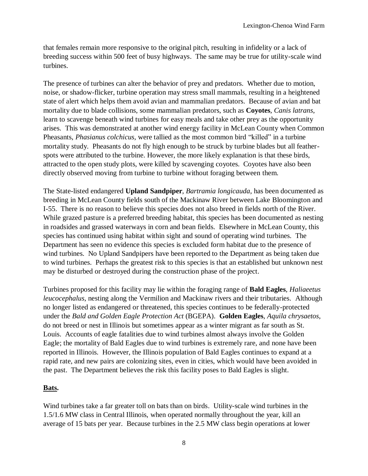that females remain more responsive to the original pitch, resulting in infidelity or a lack of breeding success within 500 feet of busy highways. The same may be true for utility-scale wind turbines.

The presence of turbines can alter the behavior of prey and predators. Whether due to motion, noise, or shadow-flicker, turbine operation may stress small mammals, resulting in a heightened state of alert which helps them avoid avian and mammalian predators. Because of avian and bat mortality due to blade collisions, some mammalian predators, such as **Coyotes**, *Canis latrans*, learn to scavenge beneath wind turbines for easy meals and take other prey as the opportunity arises. This was demonstrated at another wind energy facility in McLean County when Common Pheasants, *Phasianus colchicus,* were tallied as the most common bird "killed" in a turbine mortality study. Pheasants do not fly high enough to be struck by turbine blades but all featherspots were attributed to the turbine. However, the more likely explanation is that these birds, attracted to the open study plots, were killed by scavenging coyotes. Coyotes have also been directly observed moving from turbine to turbine without foraging between them.

The State-listed endangered **Upland Sandpiper**, *Bartramia longicauda*, has been documented as breeding in McLean County fields south of the Mackinaw River between Lake Bloomington and I-55. There is no reason to believe this species does not also breed in fields north of the River. While grazed pasture is a preferred breeding habitat, this species has been documented as nesting in roadsides and grassed waterways in corn and bean fields. Elsewhere in McLean County, this species has continued using habitat within sight and sound of operating wind turbines. The Department has seen no evidence this species is excluded form habitat due to the presence of wind turbines. No Upland Sandpipers have been reported to the Department as being taken due to wind turbines. Perhaps the greatest risk to this species is that an established but unknown nest may be disturbed or destroyed during the construction phase of the project.

Turbines proposed for this facility may lie within the foraging range of **Bald Eagles**, *Haliaeetus leucocephalus*, nesting along the Vermilion and Mackinaw rivers and their tributaries. Although no longer listed as endangered or threatened, this species continues to be federally-protected under the *Bald and Golden Eagle Protection Act* (BGEPA). **Golden Eagles**, *Aquila chrysaetos*, do not breed or nest in Illinois but sometimes appear as a winter migrant as far south as St. Louis. Accounts of eagle fatalities due to wind turbines almost always involve the Golden Eagle; the mortality of Bald Eagles due to wind turbines is extremely rare, and none have been reported in Illinois. However, the Illinois population of Bald Eagles continues to expand at a rapid rate, and new pairs are colonizing sites, even in cities, which would have been avoided in the past. The Department believes the risk this facility poses to Bald Eagles is slight.

#### **Bats.**

Wind turbines take a far greater toll on bats than on birds. Utility-scale wind turbines in the 1.5/1.6 MW class in Central Illinois, when operated normally throughout the year, kill an average of 15 bats per year. Because turbines in the 2.5 MW class begin operations at lower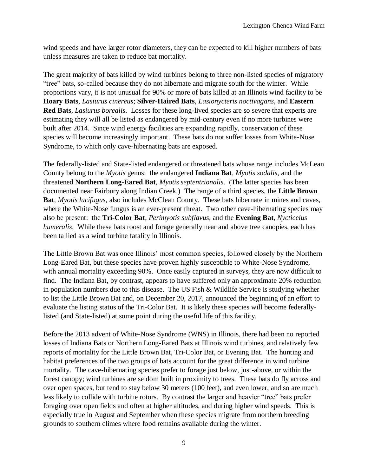wind speeds and have larger rotor diameters, they can be expected to kill higher numbers of bats unless measures are taken to reduce bat mortality.

The great majority of bats killed by wind turbines belong to three non-listed species of migratory "tree" bats, so-called because they do not hibernate and migrate south for the winter. While proportions vary, it is not unusual for 90% or more of bats killed at an Illinois wind facility to be **Hoary Bats**, *Lasiurus cinereus*; **Silver-Haired Bats**, *Lasionycteris noctivagans*, and **Eastern Red Bats**, *Lasiurus borealis*. Losses for these long-lived species are so severe that experts are estimating they will all be listed as endangered by mid-century even if no more turbines were built after 2014. Since wind energy facilities are expanding rapidly, conservation of these species will become increasingly important. These bats do not suffer losses from White-Nose Syndrome, to which only cave-hibernating bats are exposed.

The federally-listed and State-listed endangered or threatened bats whose range includes McLean County belong to the *Myotis* genus: the endangered **Indiana Bat**, *Myotis sodalis*, and the threatened **Northern Long-Eared Bat**, *Myotis septentrionalis*. (The latter species has been documented near Fairbury along Indian Creek.) The range of a third species, the **Little Brown Bat**, *Myotis lucifugus*, also includes McClean County. These bats hibernate in mines and caves, where the White-Nose fungus is an ever-present threat. Two other cave-hibernating species may also be present: the **Tri-Color Bat**, *Perimyotis subflavus*; and the **Evening Bat**, *Nycticeius humeralis*. While these bats roost and forage generally near and above tree canopies, each has been tallied as a wind turbine fatality in Illinois.

The Little Brown Bat was once Illinois' most common species, followed closely by the Northern Long-Eared Bat, but these species have proven highly susceptible to White-Nose Syndrome, with annual mortality exceeding 90%. Once easily captured in surveys, they are now difficult to find. The Indiana Bat, by contrast, appears to have suffered only an approximate 20% reduction in population numbers due to this disease. The US Fish & Wildlife Service is studying whether to list the Little Brown Bat and, on December 20, 2017, announced the beginning of an effort to evaluate the listing status of the Tri-Color Bat. It is likely these species will become federallylisted (and State-listed) at some point during the useful life of this facility.

Before the 2013 advent of White-Nose Syndrome (WNS) in Illinois, there had been no reported losses of Indiana Bats or Northern Long-Eared Bats at Illinois wind turbines, and relatively few reports of mortality for the Little Brown Bat, Tri-Color Bat, or Evening Bat. The hunting and habitat preferences of the two groups of bats account for the great difference in wind turbine mortality. The cave-hibernating species prefer to forage just below, just-above, or within the forest canopy; wind turbines are seldom built in proximity to trees. These bats do fly across and over open spaces, but tend to stay below 30 meters (100 feet), and even lower, and so are much less likely to collide with turbine rotors. By contrast the larger and heavier "tree" bats prefer foraging over open fields and often at higher altitudes, and during higher wind speeds. This is especially true in August and September when these species migrate from northern breeding grounds to southern climes where food remains available during the winter.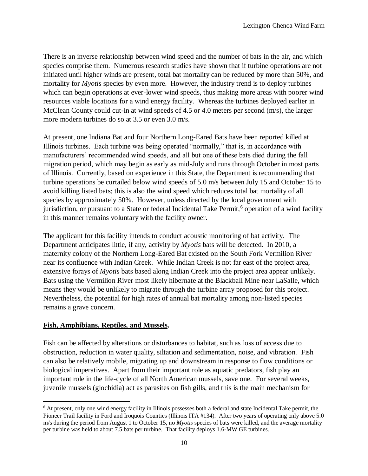There is an inverse relationship between wind speed and the number of bats in the air, and which species comprise them. Numerous research studies have shown that if turbine operations are not initiated until higher winds are present, total bat mortality can be reduced by more than 50%, and mortality for *Myotis* species by even more. However, the industry trend is to deploy turbines which can begin operations at ever-lower wind speeds, thus making more areas with poorer wind resources viable locations for a wind energy facility. Whereas the turbines deployed earlier in McClean County could cut-in at wind speeds of 4.5 or 4.0 meters per second (m/s), the larger more modern turbines do so at 3.5 or even 3.0 m/s.

At present, one Indiana Bat and four Northern Long-Eared Bats have been reported killed at Illinois turbines. Each turbine was being operated "normally," that is, in accordance with manufacturers' recommended wind speeds, and all but one of these bats died during the fall migration period, which may begin as early as mid-July and runs through October in most parts of Illinois. Currently, based on experience in this State, the Department is recommending that turbine operations be curtailed below wind speeds of 5.0 m/s between July 15 and October 15 to avoid killing listed bats; this is also the wind speed which reduces total bat mortality of all species by approximately 50%. However, unless directed by the local government with jurisdiction, or pursuant to a State or federal Incidental Take Permit,<sup>6</sup> operation of a wind facility in this manner remains voluntary with the facility owner.

The applicant for this facility intends to conduct acoustic monitoring of bat activity. The Department anticipates little, if any, activity by *Myotis* bats will be detected. In 2010, a maternity colony of the Northern Long-Eared Bat existed on the South Fork Vermilion River near its confluence with Indian Creek. While Indian Creek is not far east of the project area, extensive forays of *Myotis* bats based along Indian Creek into the project area appear unlikely. Bats using the Vermilion River most likely hibernate at the Blackball Mine near LaSalle, which means they would be unlikely to migrate through the turbine array proposed for this project. Nevertheless, the potential for high rates of annual bat mortality among non-listed species remains a grave concern.

#### **Fish, Amphibians, Reptiles, and Mussels.**

 $\overline{a}$ 

Fish can be affected by alterations or disturbances to habitat, such as loss of access due to obstruction, reduction in water quality, siltation and sedimentation, noise, and vibration. Fish can also be relatively mobile, migrating up and downstream in response to flow conditions or biological imperatives. Apart from their important role as aquatic predators, fish play an important role in the life-cycle of all North American mussels, save one. For several weeks, juvenile mussels (glochidia) act as parasites on fish gills, and this is the main mechanism for

<sup>&</sup>lt;sup>6</sup> At present, only one wind energy facility in Illinois possesses both a federal and state Incidental Take permit, the Pioneer Trail facility in Ford and Iroquois Counties (Illinois ITA #134). After two years of operating only above 5.0 m/s during the period from August 1 to October 15, no *Myotis* species of bats were killed, and the average mortality per turbine was held to about 7.5 bats per turbine. That facility deploys 1.6-MW GE turbines.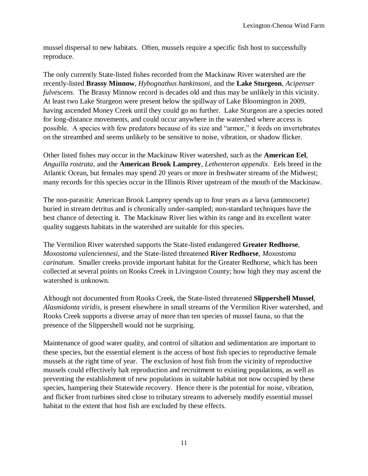mussel dispersal to new habitats. Often, mussels require a specific fish host to successfully reproduce.

The only currently State-listed fishes recorded from the Mackinaw River watershed are the recently-listed **Brassy Minnow**, *Hybognathus hankinsoni*, and the **Lake Sturgeon**, *Acipenser fulvescens*. The Brassy Minnow record is decades old and thus may be unlikely in this vicinity. At least two Lake Sturgeon were present below the spillway of Lake Bloomington in 2009, having ascended Money Creek until they could go no further. Lake Sturgeon are a species noted for long-distance movements, and could occur anywhere in the watershed where access is possible. A species with few predators because of its size and "armor," it feeds on invertebrates on the streambed and seems unlikely to be sensitive to noise, vibration, or shadow flicker.

Other listed fishes may occur in the Mackinaw River watershed, such as the **American Eel**, *Anguilla rostrata*, and the **American Brook Lamprey**, *Lethenteron appendix*. Eels breed in the Atlantic Ocean, but females may spend 20 years or more in freshwater streams of the Midwest; many records for this species occur in the Illinois River upstream of the mouth of the Mackinaw.

The non-parasitic American Brook Lamprey spends up to four years as a larva (ammocoete) buried in stream detritus and is chronically under-sampled; non-standard techniques have the best chance of detecting it. The Mackinaw River lies within its range and its excellent water quality suggests habitats in the watershed are suitable for this species.

The Vermilion River watershed supports the State-listed endangered **Greater Redhorse**, *Moxostoma valenciennesi*, and the State-listed threatened **River Redhorse**, *Moxostoma carinatum*. Smaller creeks provide important habitat for the Greater Redhorse, which has been collected at several points on Rooks Creek in Livingston County; how high they may ascend the watershed is unknown.

Although not documented from Rooks Creek, the State-listed threatened **Slippershell Mussel**, *Alasmidonta viridis*, is present elsewhere in small streams of the Vermilion River watershed, and Rooks Creek supports a diverse array of more than ten species of mussel fauna, so that the presence of the Slippershell would not be surprising.

Maintenance of good water quality, and control of siltation and sedimentation are important to these species, but the essential element is the access of host fish species to reproductive female mussels at the right time of year. The exclusion of host fish from the vicinity of reproductive mussels could effectively halt reproduction and recruitment to existing populations, as well as preventing the establishment of new populations in suitable habitat not now occupied by these species, hampering their Statewide recovery. Hence there is the potential for noise, vibration, and flicker from turbines sited close to tributary streams to adversely modify essential mussel habitat to the extent that host fish are excluded by these effects.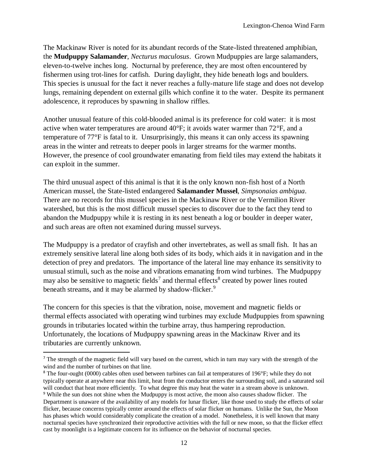The Mackinaw River is noted for its abundant records of the State-listed threatened amphibian, the **Mudpuppy Salamander**, *Necturus maculosus*. Grown Mudpuppies are large salamanders, eleven-to-twelve inches long. Nocturnal by preference, they are most often encountered by fishermen using trot-lines for catfish. During daylight, they hide beneath logs and boulders. This species is unusual for the fact it never reaches a fully-mature life stage and does not develop lungs, remaining dependent on external gills which confine it to the water. Despite its permanent adolescence, it reproduces by spawning in shallow riffles.

Another unusual feature of this cold-blooded animal is its preference for cold water: it is most active when water temperatures are around 40°F; it avoids water warmer than 72°F, and a temperature of 77°F is fatal to it. Unsurprisingly, this means it can only access its spawning areas in the winter and retreats to deeper pools in larger streams for the warmer months. However, the presence of cool groundwater emanating from field tiles may extend the habitats it can exploit in the summer.

The third unusual aspect of this animal is that it is the only known non-fish host of a North American mussel, the State-listed endangered **Salamander Mussel**, *Simpsonaias ambigua*. There are no records for this mussel species in the Mackinaw River or the Vermilion River watershed, but this is the most difficult mussel species to discover due to the fact they tend to abandon the Mudpuppy while it is resting in its nest beneath a log or boulder in deeper water, and such areas are often not examined during mussel surveys.

The Mudpuppy is a predator of crayfish and other invertebrates, as well as small fish. It has an extremely sensitive lateral line along both sides of its body, which aids it in navigation and in the detection of prey and predators. The importance of the lateral line may enhance its sensitivity to unusual stimuli, such as the noise and vibrations emanating from wind turbines. The Mudpuppy may also be sensitive to magnetic fields<sup>7</sup> and thermal effects<sup>8</sup> created by power lines routed beneath streams, and it may be alarmed by shadow-flicker.<sup>9</sup>

The concern for this species is that the vibration, noise, movement and magnetic fields or thermal effects associated with operating wind turbines may exclude Mudpuppies from spawning grounds in tributaries located within the turbine array, thus hampering reproduction. Unfortunately, the locations of Mudpuppy spawning areas in the Mackinaw River and its tributaries are currently unknown.

 $\overline{a}$ 

<sup>&</sup>lt;sup>7</sup> The strength of the magnetic field will vary based on the current, which in turn may vary with the strength of the wind and the number of turbines on that line.

<sup>&</sup>lt;sup>8</sup> The four-ought (0000) cables often used between turbines can fail at temperatures of 196°F; while they do not typically operate at anywhere near this limit, heat from the conductor enters the surrounding soil, and a saturated soil will conduct that heat more efficiently. To what degree this may heat the water in a stream above is unknown. <sup>9</sup> While the sun does not shine when the Mudpuppy is most active, the moon also causes shadow flicker. The Department is unaware of the availability of any models for lunar flicker, like those used to study the effects of solar flicker, because concerns typically center around the effects of solar flicker on humans. Unlike the Sun, the Moon has phases which would considerably complicate the creation of a model. Nonetheless, it is well known that many nocturnal species have synchronized their reproductive activities with the full or new moon, so that the flicker effect cast by moonlight is a legitimate concern for its influence on the behavior of nocturnal species.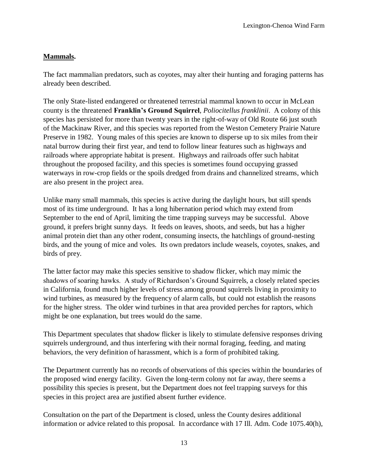## **Mammals.**

The fact mammalian predators, such as coyotes, may alter their hunting and foraging patterns has already been described.

The only State-listed endangered or threatened terrestrial mammal known to occur in McLean county is the threatened **Franklin's Ground Squirrel**, *Poliocitellus franklinii*. A colony of this species has persisted for more than twenty years in the right-of-way of Old Route 66 just south of the Mackinaw River, and this species was reported from the Weston Cemetery Prairie Nature Preserve in 1982. Young males of this species are known to disperse up to six miles from their natal burrow during their first year, and tend to follow linear features such as highways and railroads where appropriate habitat is present. Highways and railroads offer such habitat throughout the proposed facility, and this species is sometimes found occupying grassed waterways in row-crop fields or the spoils dredged from drains and channelized streams, which are also present in the project area.

Unlike many small mammals, this species is active during the daylight hours, but still spends most of its time underground. It has a long hibernation period which may extend from September to the end of April, limiting the time trapping surveys may be successful. Above ground, it prefers bright sunny days. It feeds on leaves, shoots, and seeds, but has a higher animal protein diet than any other rodent, consuming insects, the hatchlings of ground-nesting birds, and the young of mice and voles. Its own predators include weasels, coyotes, snakes, and birds of prey.

The latter factor may make this species sensitive to shadow flicker, which may mimic the shadows of soaring hawks. A study of Richardson's Ground Squirrels, a closely related species in California, found much higher levels of stress among ground squirrels living in proximity to wind turbines, as measured by the frequency of alarm calls, but could not establish the reasons for the higher stress. The older wind turbines in that area provided perches for raptors, which might be one explanation, but trees would do the same.

This Department speculates that shadow flicker is likely to stimulate defensive responses driving squirrels underground, and thus interfering with their normal foraging, feeding, and mating behaviors, the very definition of harassment, which is a form of prohibited taking.

The Department currently has no records of observations of this species within the boundaries of the proposed wind energy facility. Given the long-term colony not far away, there seems a possibility this species is present, but the Department does not feel trapping surveys for this species in this project area are justified absent further evidence.

Consultation on the part of the Department is closed, unless the County desires additional information or advice related to this proposal. In accordance with 17 Ill. Adm. Code 1075.40(h),